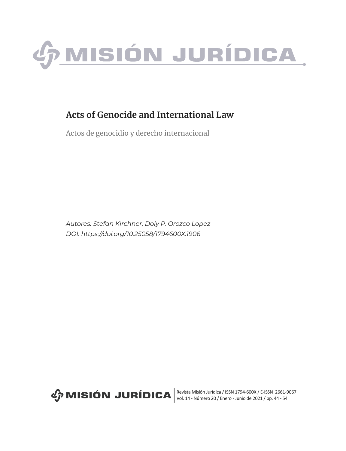

# **Acts of Genocide and International Law**

Actos de genocidio y derecho internacional

*Autores: Stefan Kirchner, Doly P. Orozco Lopez DOI: https://doi.org/10.25058/1794600X.1906*

Revista Misión Jurídica / ISSN 1794-600X / E-ISSN 2661-9067 Vol. 14 - Número 20 / Enero - Junio de 2021 / pp. 44 - 54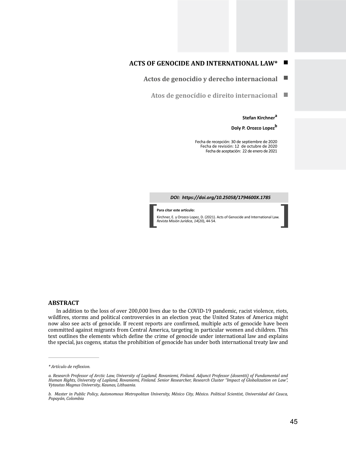# **ACTS OF GENOCIDE AND INTERNATIONAL LAW\***

**Actos de genocidio y derecho internacional**  $\blacksquare$ 

**Atos de genocídio e direito internacional** П

#### **Stefan Kirchner<sup>a</sup>**

**Doly P. Orozco Lopez<sup>b</sup>**

Fecha de recepción: 30 de septiembre de 2020 Fecha de revisión: 12 de octubre de 2020 Fecha de aceptación: 22 de enero de 2021

#### *DOI: https://doi.org/10.25058/1794600X.1785*

#### **Para citar este artículo:**

**Para citar este artículo:**<br>Kirchner, E. y Orozco Lopez, D. (2021). Acts of Genocide and International Law.<br>Revista Misión Jurídica, 14(20), 44-54. Kirchner, E. y Orozco Lopez, D. (2021). Acts of Genocide and International Law. *Revista Misión Jurídica*, *14*(20), 44-54.

#### **ABSTRACT**

In addition to the loss of over 200,000 lives due to the COVID-19 pandemic, racist violence, riots, wildfires, storms and political controversies in an election year, the United States of America might now also see acts of genocide. If recent reports are confirmed, multiple acts of genocide have been committed against migrants from Central America, targeting in particular women and children. This text outlines the elements which define the crime of genocide under international law and explains the special, jus cogens, status the prohibition of genocide has under both international treaty law and

*<sup>\*</sup> Artículo de reflexion.*

*a. Research Professor of Arctic Law, University of Lapland, Rovaniemi, Finland. Adjunct Professor (dosentti) of Fundamental and Human Rights, University of Lapland, Rovaniemi, Finland. Senior Researcher, Research Cluster "Impact of Globalization on Law", Vytautas Magnus University, Kaunas, Lithuania.*

*b. Master in Public Policy, Autonomous Metropolitan University, México City, México. Political Scientist, Universidad del Cauca, Popayán, Colombia*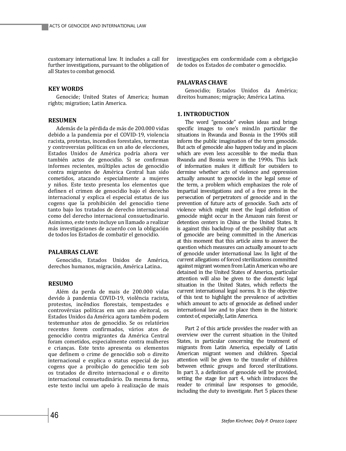customary international law. It includes a call for further investigations, pursuant to the obligation of all States to combat genocid.

#### **KEY WORDS**

Genocide; United States of America; human rights; migration; Latin America.

#### **RESUMEN**

Además de la pérdida de más de 200.000 vidas debido a la pandemia por el COVID-19, violencia racista, protestas, incendios forestales, tormentas y controversias políticas en un año de elecciones, Estados Unidos de América podría ahora ver también actos de genocidio. Si se confirman informes recientes, múltiples actos de genocidio contra migrantes de América Central han sido cometidos, atacando especialmente a mujeres y niños. Este texto presenta los elementos que definen el crimen de genocidio bajo el derecho internacional y explica el especial estatus de ius cogens que la prohibición del genocidio tiene tanto bajo los tratados de derecho internacional como del derecho internacional consuetudinario. Asimismo, este texto incluye un llamado a realizar más investigaciones de acuerdo con la obligación de todos los Estados de combatir el genocidio.

#### **PALABRAS CLAVE**

Genocidio, Estados Unidos de América, derechos humanos, migración, América Latina..

#### **RESUMO**

Além da perda de mais de 200.000 vidas devido à pandemia COVID-19, violência racista, protestos, incêndios florestais, tempestades e controvérsias políticas em um ano eleitoral, os Estados Unidos da América agora também podem testemunhar atos de genocídio. Se os relatórios recentes forem confirmados, vários atos de genocídio contra migrantes da América Central foram cometidos, especialmente contra mulheres e crianças. Este texto apresenta os elementos que definem o crime de genocídio sob o direito internacional e explica o status especial de jus cogens que a proibição do genocídio tem sob os tratados de direito internacional e o direito internacional consuetudinário. Da mesma forma, este texto inclui um apelo à realização de mais

investigações em conformidade com a obrigação de todos os Estados de combater o genocídio.

#### **PALAVRAS CHAVE**

Genocidio; Estados Unidos da América; direitos humanos; migração; América Latina.

#### **1. INTRODUCTION**

The word "genocide" evokes ideas and brings specific images to one's mind.In particular the situations in Rwanda and Bosnia in the 1990s still inform the public imagination of the term genocide. But acts of genocide also happen today and in places which are even less accessible to the media than Rwanda and Bosnia were in the 1990s. This lack of information makes it difficult for outsiders to dermine whether acts of violence and oppression actually amount to genocide in the legal sense of the term, a problem which emphasizes the role of impartial investigations and of a free press in the persecution of perpetrators of genocide and in the prevention of future acts of genocide. Such acts of violence which might meet the legal definition of genocide might occur in the Amazon rain forest or detention centers in China or the United States. It is against this backdrop of the possibility that acts of genocide are being committed in the Americas at this moment that this article aims to answer the question which measures can actually amount to acts of genocide under international law. In light of the current allegations of forced sterilizations committed against migrant women from Latin American who are detained in the United States of America, particular attention will also be given to the domestic legal situation in the United States, which reflects the current international legal norms. It is the objective of this text to highlight the prevalence of activities which amount to acts of genocide as defined under international law and to place them in the historic context of, especially, Latin America.

Part 2 of this article provides the reader with an overview over the current situation in the United States, in particular concerning the treatment of migrants from Latin America, especially of Latin American migrant women and children. Special attention will be given to the transfer of children between ethnic groups and forced sterilizations. In part 3, a definition of genocide will be provided, setting the stage for part 4, which introduces the reader to criminal law responses to genocide, including the duty to investigate. Part 5 places these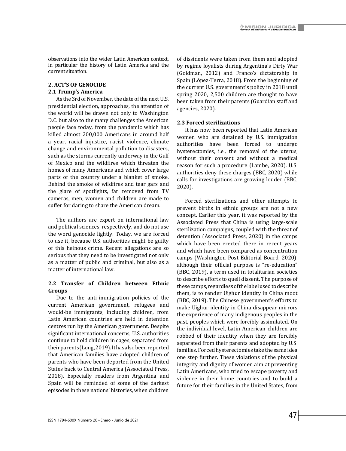observations into the wider Latin American context, in particular the history of Latin America and the current situation.

# **2. ACT'S OF GENOCIDE**

## **2.1 Trump's America**

As the 3rd of November, the date of the next U.S. presidential election, approaches, the attention of the world will be drawn not only to Washington D.C. but also to the many challenges the American people face today, from the pandemic which has killed almost 200,000 Americans in around half a year, racial injustice, racist violence, climate change and environmental pollution to disasters, such as the storms currently underway in the Gulf of Mexico and the wildfires which threaten the homes of many Americans and which cover large parts of the country under a blanket of smoke. Behind the smoke of wildfires and tear gars and the glare of spotlights, far removed from TV cameras, men, women and children are made to suffer for daring to share the American dream.

The authors are expert on international law and political sciences, respectively, and do not use the word genocide lightly. Today, we are forced to use it, because U.S. authorities might be guilty of this heinous crime. Recent allegations are so serious that they need to be investigated not only as a matter of public and criminal, but also as a matter of international law.

# **2.2 Transfer of Children between Ethnic Groups**

Due to the anti-immigration policies of the current American government, refugees and would-be immigrants, including children, from Latin American countries are held in detention centres run by the American government. Despite significant international concerns, U.S. authorities continue to hold children in cages, separated from their parents (Long, 2019). It has also been reported that American families have adopted children of parents who have been deported from the United States back to Central America (Associated Press, 2018). Especially readers from Argentina and Spain will be reminded of some of the darkest episodes in these nations' histories, when children

of dissidents were taken from them and adopted by regime loyalists during Argentina's Dirty War (Goldman, 2012) and Franco's dictatorship in Spain (López-Terra, 2018). From the beginning of the current U.S. government's policy in 2018 until spring 2020, 2,500 children are thought to have been taken from their parents (Guardian staff and agencies, 2020).

# **2.3 Forced sterilizations**

It has now been reported that Latin American women who are detained by U.S. immigration authorities have been forced to undergo hysterectomies, i.e., the removal of the uterus, without their consent and without a medical reason for such a procedure (Lambe, 2020). U.S. authorities deny these charges (BBC, 2020) while calls for investigations are growing louder (BBC, 2020).

Forced sterilizations and other attempts to prevent births in ethnic groups are not a new concept. Earlier this year, it was reported by the Associated Press that China is using large-scale sterilization campaigns, coupled with the threat of detention (Associated Press, 2020) in the camps which have been erected there in recent years and which have been compared as concentration camps (Washington Post Editorial Board, 2020), although their official purpose is "re-education" (BBC, 2019), a term used in totalitarian societies to describe efforts to quell dissent. The purpose of these camps, regardless of the label used to describe them, is to render Uighur identity in China moot (BBC, 2019). The Chinese government's efforts to make Uighur identity in China disappear mirrors the experience of many indigenous peoples in the past, peoples which were forcibly assimilated. On the individual level, Latin American children are robbed of their identity when they are forcibly separated from their parents and adopted by U.S. families. Forced hysterectomies take the same idea one step further. These violations of the physical integrity and dignity of women aim at preventing Latin Americans, who tried to escape poverty and violence in their home countries and to build a future for their families in the United States, from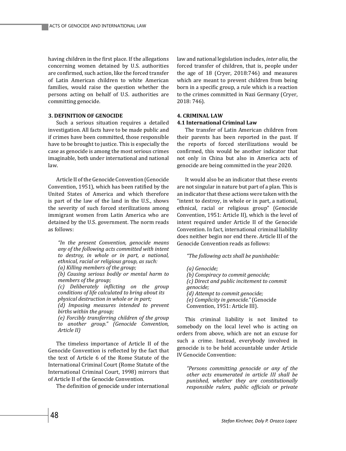having children in the first place. If the allegations concerning women detained by U.S. authorities are confirmed, such action, like the forced transfer of Latin American children to white American families, would raise the question whether the persons acting on behalf of U.S. authorities are committing genocide.

#### **3. DEFINITION OF GENOCIDE**

Such a serious situation requires a detailed investigation. All facts have to be made public and if crimes have been committed, those responsible have to be brought to justice. This is especially the case as genocide is among the most serious crimes imaginable, both under international and national law.

Article II of the Genocide Convention (Genocide Convention, 1951), which has been ratified by the United States of America and which therefore is part of the law of the land in the U.S., shows the severity of such forced sterilizations among immigrant women from Latin America who are detained by the U.S. government. The norm reads as follows:

*"In the present Convention, genocide means any of the following acts committed with intent to destroy, in whole or in part, a national, ethnical, racial or religious group, as such:*

*(a) Killing members of the group;*

*(b) Causing serious bodily or mental harm to members of the group;*

*(c) Deliberately inflicting on the group conditions of life calculated to bring about its physical destruction in whole or in part;*

*(d) Imposing measures intended to prevent births within the group;*

*(e) Forcibly transferring children of the group to another group." (Genocide Convention, Article II)*

The timeless importance of Article II of the Genocide Convention is reflected by the fact that the text of Article 6 of the Rome Statute of the International Criminal Court (Rome Statute of the International Criminal Court, 1998) mirrors that of Article II of the Genocide Convention.

The definition of genocide under international

law and national legislation includes, *inter alia*, the forced transfer of children, that is, people under the age of 18 (Cryer, 2018:746) and measures which are meant to prevent children from being born in a specific group, a rule which is a reaction to the crimes committed in Nazi Germany (Cryer, 2018: 746).

#### **4. CRIMINAL LAW**

#### **4.1 International Criminal Law**

The transfer of Latin American children from their parents has been reported in the past. If the reports of forced sterilizations would be confirmed, this would be another indicator that not only in China but also in America acts of genocide are being committed in the year 2020.

It would also be an indicator that these events are not singular in nature but part of a plan. This is an indicator that these actions were taken with the "intent to destroy, in whole or in part, a national, ethnical, racial or religious group" (Genocide Convention, 1951: Article II), which is the level of intent required under Article II of the Genocide Convention. In fact, international criminal liability does neither begin nor end there. Article III of the Genocide Convention reads as follows:

#### *"The following acts shall be punishable:*

*(a) Genocide; (b) Conspiracy to commit genocide; (c) Direct and public incitement to commit genocide; (d) Attempt to commit genocide; (e) Complicity in genocide."* (Genocide Convention, 1951: Article III).

This criminal liability is not limited to somebody on the local level who is acting on orders from above, which are not an excuse for such a crime. Instead, everybody involved in genocide is to be held accountable under Article IV Genocide Convention:

*"Persons committing genocide or any of the other acts enumerated in article III shall be punished, whether they are constitutionally responsible rulers, public officials or private*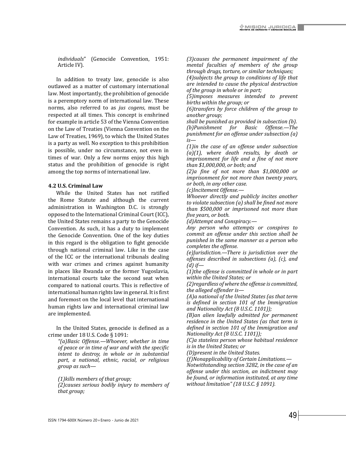*individuals*" (Genocide Convention, 1951: Article IV).

In addition to treaty law, genocide is also outlawed as a matter of customary international law. Most importantly, the prohibition of genocide is a peremptory norm of international law. These norms, also referred to as *jus cogens*, must be respected at all times. This concept is enshrined for example in article 53 of the Vienna Convention on the Law of Treaties (Vienna Convention on the Law of Treaties, 1969), to which the United States is a party as well. No exception to this prohibition is possible, under no circumstance, not even in times of war. Only a few norms enjoy this high status and the prohibition of genocide is right among the top norms of international law.

## **4.2 U.S. Criminal Law**

While the United States has not ratified the Rome Statute and although the current administration in Washington D.C. is strongly opposed to the International Criminal Court (ICC), the United States remains a party to the Genocide Convention. As such, it has a duty to implement the Genocide Convention. One of the key duties in this regard is the obligation to fight genocide through national criminal law. Like in the case of the ICC or the international tribunals dealing with war crimes and crimes against humanity in places like Rwanda or the former Yugoslavia, international courts take the second seat when compared to national courts. This is reflective of international human rights law in general. It is first and foremost on the local level that international human rights law and international criminal law are implemented.

In the United States, genocide is defined as a crime under 18 U.S. Code § 1091:

*"(a)Basic Offense.—Whoever, whether in time of peace or in time of war and with the specific intent to destroy, in whole or in substantial part, a national, ethnic, racial, or religious group as such—*

*(1)kills members of that group;*

*(2)causes serious bodily injury to members of that group;*

*(3)causes the permanent impairment of the mental faculties of members of the group through drugs, torture, or similar techniques;*

*(4)subjects the group to conditions of life that are intended to cause the physical destruction of the group in whole or in part;*

*(5)imposes measures intended to prevent births within the group; or*

*(6)transfers by force children of the group to another group;*

*shall be punished as provided in subsection (b). (b)Punishment for Basic Offense.—The punishment for an offense under subsection (a) is—*

*(1)in the case of an offense under subsection (a)(1), where death results, by death or imprisonment for life and a fine of not more than \$1,000,000, or both; and*

*(2)a fine of not more than \$1,000,000 or imprisonment for not more than twenty years, or both, in any other case.*

*(c)Incitement Offense.—*

*Whoever directly and publicly incites another to violate subsection (a) shall be fined not more than \$500,000 or imprisoned not more than five years, or both.*

*(d)Attempt and Conspiracy.—*

*Any person who attempts or conspires to commit an offense under this section shall be punished in the same manner as a person who completes the offense.*

*(e)Jurisdiction.—There is jurisdiction over the offenses described in subsections (a), (c), and (d) if—*

*(1)the offense is committed in whole or in part within the United States; or*

*(2)regardless of where the offense is committed, the alleged offender is—*

*(A)a national of the United States (as that term is defined in section 101 of the Immigration and Nationality Act (8 U.S.C. 1101));*

*(B)an alien lawfully admitted for permanent residence in the United States (as that term is defined in section 101 of the Immigration and Nationality Act (8 U.S.C. 1101));*

*(C)a stateless person whose habitual residence is in the United States; or*

*(D)present in the United States.*

*(f)Nonapplicability of Certain Limitations.—*

*Notwithstanding section 3282, in the case of an offense under this section, an indictment may be found, or information instituted, at any time without limitation" (18 U.S.C. § 1091).*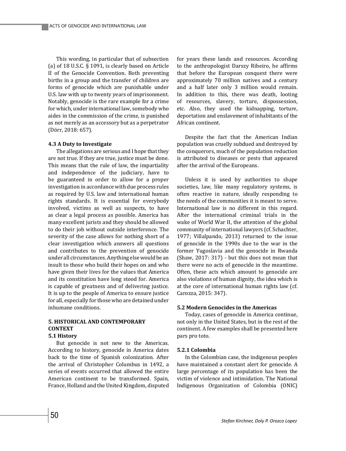This wording, in particular that of subsection (a) of 18 U.S.C. § 1091, is clearly based on Article II of the Genocide Convention. Both preventing births in a group and the transfer of children are forms of genocide which are punishable under U.S. law with up to twenty years of imprisonment. Notably, genocide is the rare example for a crime for which, under international law, somebody who aides in the commission of the crime, is punished as not merely as an accessory but as a perpetrator (Dörr, 2018: 657).

#### **4.3 A Duty to Investigate**

The allegations are serious and I hope that they are not true. If they are true, justice must be done. This means that the rule of law, the impartiality and independence of the judiciary, have to be guaranteed in order to allow for a proper investigation in accordance with due process rules as required by U.S. law and international human rights standards. It is essential for everybody involved, victims as well as suspects, to have as clear a legal process as possible. America has many excellent jurists and they should be allowed to do their job without outside interference. The severity of the case allows for nothing short of a clear investigation which answers all questions and contributes to the prevention of genocide under all circumstances. Anything else would be an insult to those who build their hopes on and who have given their lives for the values that America and its constitution have long stood for. America is capable of greatness and of delivering justice. It is up to the people of America to ensure justice for all, especially for those who are detained under inhumane conditions.

# **5. HISTORICAL AND CONTEMPORARY CONTEXT**

# **5.1 History**

But genocide is not new to the Americas. According to history, genocide in America dates back to the time of Spanish colonization. After the arrival of Christopher Columbus in 1492, a series of events occurred that allowed the entire American continent to be transformed. Spain, France, Holland and the United Kingdom, disputed

for years these lands and resources. According to the anthropologist Darszy Ribeiro, he affirms that before the European conquest there were approximately 70 million natives and a century and a half later only 3 million would remain. In addition to this, there was death, looting of resources, slavery, torture, dispossession, etc. Also, they used the kidnapping, torture, deportation and enslavement of inhabitants of the African continent.

Despite the fact that the American Indian population was cruelly subdued and destroyed by the conquerors, much of the population reduction is attributed to diseases or pests that appeared after the arrival of the Europeans.

Unless it is used by authorities to shape societies, law, like many regulatory systems, is often reactive in nature, ideally responding to the needs of the communities it is meant to serve. International law is no different in this regard. After the international criminal trials in the wake of World War II, the attention of the global community of international lawyers (cf. Schachter, 1977; Villalpando, 2013) returned to the issue of genocide in the 1990s due to the war in the former Yugoslavia and the genocide in Rwanda (Shaw, 2017: 317) - but this does not mean that there were no acts of genocide in the meantime. Often, these acts which amount to genocide are also violations of human dignity, the idea which is at the core of international human rights law (cf. Carozza, 2015: 347).

#### **5.2 Modern Genocides in the Americas**

Today, cases of genocide in America continue, not only in the United States, but in the rest of the continent. A few examples shall be presented here pars pro toto.

#### **5.2.1 Colombia**

In the Colombian case, the indigenous peoples have maintained a constant alert for genocide. A large percentage of its population has been the victim of violence and intimidation. The National Indigenous Organization of Colombia (ONIC)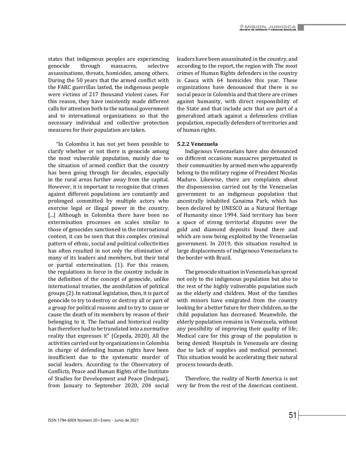states that indigenous peoples are experiencing genocide through massacres, selective assassinations, threats, homicides, among others. During the 50 years that the armed conflict with the FARC guerrillas lasted, the indigenous people were victims of 217 thousand violent cases. For this reason, they have insistently made different calls for attention both to the national government and to international organizations so that the necessary individual and collective protection measures for their population are taken.

"In Colombia it has not yet been possible to clarify whether or not there is genocide among the most vulnerable population, mainly due to the situation of armed conflict that the country has been going through for decades, especially in the rural areas further away from the capital. However, it is important to recognize that crimes against different populations are constantly and prolonged committed by multiple actors who exercise legal or illegal power in the country. [...] Although in Colombia there have been no extermination processes on scales similar to those of genocides sanctioned in the international context, it can be seen that this complex criminal pattern of ethnic, social and political collectivities has often resulted in not only the elimination of many of its leaders and members, but their total or partial extermination. (1). For this reason, the regulations in force in the country include in the definition of the concept of genocide, unlike international treaties, the annihilation of political groups (2). In national legislation, then, it is part of genocide to try to destroy or destroy all or part of a group for political reasons and to try to cause or cause the death of its members by reason of their belonging to it. The factual and historical reality has therefore had to be translated into a normative reality that expresses it" (Cepeda, 2020). All the activities carried out by organizations in Colombia in charge of defending human rights have been insufficient due to the systematic murder of social leaders. According to the Observatory of Conflicts, Peace and Human Rights of the Institute of Studies for Development and Peace (Indepaz), from January to September 2020, 204 social leaders have been assassinated in the country, and according to the report, the region with The most crimes of Human Rights defenders in the country is Cauca with 64 homicides this year. These organizations have denounced that there is no social peace in Colombia and that there are crimes against humanity, with direct responsibility of the State and that include acts that are part of a generalized attack against a defenseless civilian population, especially defenders of territories and of human rights.

#### **5.2.2 Venezuela**

Indigenous Venezuelans have also denounced on different occasions massacres perpetuated in their communities by armed men who apparently belong to the military regime of President Nicolas Maduro. Likewise, there are complaints about the dispossession carried out by the Venezuelan government to an indigenous population that ancestrally inhabited Canaima Park, which has been declared by UNESCO as a Natural Heritage of Humanity since 1994. Said territory has been a space of strong territorial disputes over the gold and diamond deposits found there and which are now being exploited by the Venezuelan government. In 2019, this situation resulted in large displacements of indigenous Venezuelans to the border with Brazil.

The genocide situation in Venezuela has spread not only to the indigenous population but also to the rest of the highly vulnerable population such as the elderly and children. Most of the families with minors have emigrated from the country looking for a better future for their children, so the child population has decreased. Meanwhile, the elderly population remains in Venezuela, without any possibility of improving their quality of life; Medical care for this group of the population is being denied; Hospitals in Venezuela are closing due to lack of supplies and medical personnel. This situation would be accelerating their natural process towards death.

Therefore, the reality of North America is not very far from the rest of the American continent.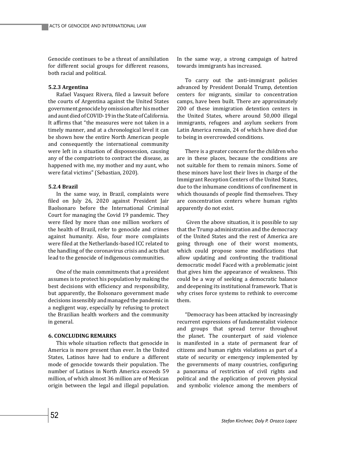Genocide continues to be a threat of annihilation for different social groups for different reasons, both racial and political.

#### **5.2.3 Argentina**

Rafael Vasquez Rivera, filed a lawsuit before the courts of Argentina against the United States government genocide by omission after his mother and aunt died of COVID-19 in the State of California. It affirms that "the measures were not taken in a timely manner, and at a chronological level it can be shown how the entire North American people and consequently the international community were left in a situation of dispossession, causing any of the compatriots to contract the disease, as happened with me, my mother and my aunt, who were fatal victims" (Sebastian, 2020).

#### **5.2.4 Brazil**

In the same way, in Brazil, complaints were filed on July 26, 2020 against President Jair Baolsonaro before the International Criminal Court for managing the Covid 19 pandemic. They were filed by more than one million workers of the health of Brazil, refer to genocide and crimes against humanity. Also, four more complaints were filed at the Netherlands-based ICC related to the handling of the coronavirus crisis and acts that lead to the genocide of indigenous communities.

One of the main commitments that a president assumes is to protect his population by making the best decisions with efficiency and responsibility, but apparently, the Bolsonaro government made decisions insensibly and managed the pandemic in a negligent way, especially by refusing to protect the Brazilian health workers and the community in general.

#### **6. CONCLUDING REMARKS**

This whole situation reflects that genocide in America is more present than ever. In the United States, Latinos have had to endure a different mode of genocide towards their population. The number of Latinos in North America exceeds 59 million, of which almost 36 million are of Mexican origin between the legal and illegal population.

In the same way, a strong campaign of hatred towards immigrants has increased.

To carry out the anti-immigrant policies advanced by President Donald Trump, detention centers for migrants, similar to concentration camps, have been built. There are approximately 200 of these immigration detention centers in the United States, where around 50,000 illegal immigrants, refugees and asylum seekers from Latin America remain, 24 of which have died due to being in overcrowded conditions.

There is a greater concern for the children who are in these places, because the conditions are not suitable for them to remain minors. Some of these minors have lost their lives in charge of the Immigrant Reception Centers of the United States, due to the inhumane conditions of confinement in which thousands of people find themselves. They are concentration centers where human rights apparently do not exist.

 Given the above situation, it is possible to say that the Trump administration and the democracy of the United States and the rest of America are going through one of their worst moments, which could propose some modifications that allow updating and confronting the traditional democratic model Faced with a problematic joint that gives him the appearance of weakness. This could be a way of seeking a democratic balance and deepening its institutional framework. That is why crises force systems to rethink to overcome them.

"Democracy has been attacked by increasingly recurrent expressions of fundamentalist violence and groups that spread terror throughout the planet. The counterpart of said violence is manifested in a state of permanent fear of citizens and human rights violations as part of a state of security or emergency implemented by the governments of many countries, configuring a panorama of restriction of civil rights and political and the application of proven physical and symbolic violence among the members of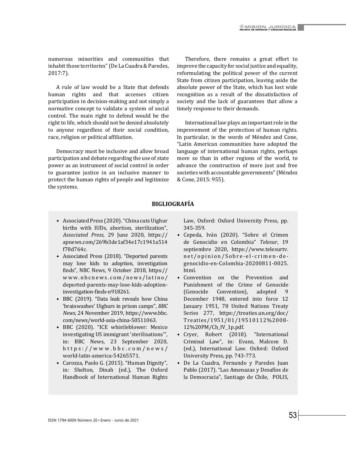numerous minorities and communities that inhabit those territories" (De La Cuadra & Paredes, 2017:7).

A rule of law would be a State that defends human rights and that accesses citizen participation in decision-making and not simply a normative concept to validate a system of social control. The main right to defend would be the right to life, which should not be denied absolutely to anyone regardless of their social condition, race, religion or political affiliation.

Democracy must be inclusive and allow broad participation and debate regarding the use of state power as an instrument of social control in order to guarantee justice in an inclusive manner to protect the human rights of people and legitimize the systems.

Therefore, there remains a great effort to improve the capacity for social justice and equality. reformulating the political power of the current State from citizen participation, leaving aside the absolute power of the State, which has lost wide recognition as a result of the dissatisfaction of society and the lack of guarantees that allow a timely response to their demands.

International law plays an important role in the improvement of the protection of human rights. In particular, in the words of Méndez and Cone, "Latin American communities have adopted the language of international human rights, perhaps more so than in other regions of the world, to advance the construction of more just and free societies with accountable governments" (Méndez & Cone, 2015: 955).

# **BIGLIOGRAFÍA**

- Associated Press (2020). "China cuts Uighur births with IUDs, abortion, sterilization", *Associated Press*, 29 June 2020, https:// apnews.com/269b3de1af34e17c1941a514 f78d764c.
- Associated Press (2018). "Deported parents may lose kids to adoption, investigation finds", NBC News, 9 October 2018, https:// www.nbcnews.com/news/latino/ deported-parents-may-lose-kids-adoptioninvestigation-finds-n918261.
- BBC (2019). "Data leak reveals how China 'brainwashes' Uighurs in prison camps", *BBC News*, 24 November 2019, https://www.bbc. com/news/world-asia-china-50511063.
- BBC (2020). "ICE whistleblower: Mexico investigating US immigrant 'sterilisations'", in: BBC News, 23 September 2020, https://www.bbc.com/news/ world-latin-america-54265571.
- Carozza, Paolo G. (2015). "Human Dignity", in: Shelton, Dinah (ed.), The Oxford Handbook of International Human Rights

Law, Oxford: Oxford University Press, pp. 345-359.

- Cepeda, Iván (2020). "Sobre el Crimen de Genocidio en Colombia" *Telesur*, 19 septiembre 2020, https://www.telesurtv. net/opinion/Sobre-el-crimen-degenocidio-en-Colombia-20200811-0025. html.
- Convention on the Prevention and Punishment of the Crime of Genocide<br>(Genocide Convention), adopted 9 Convention), adopted 9 December 1948, entered into force 12 January 1951, 78 United Nations Treaty Series 277, https://treaties.un.org/doc/ Treaties/1951/01/19510112%2008- 12%20PM/Ch\_IV\_1p.pdf.
- Cryer, Robert (2018). "International Criminal Law", in: Evans, Malcom D. (ed.), International Law. Oxford: Oxford University Press, pp. 743-773.
- De La Cuadra, Fernando y Paredes Juan Pablo (2017). "Las Amenazas y Desafíos de la Democracia", Santiago de Chile, POLIS,